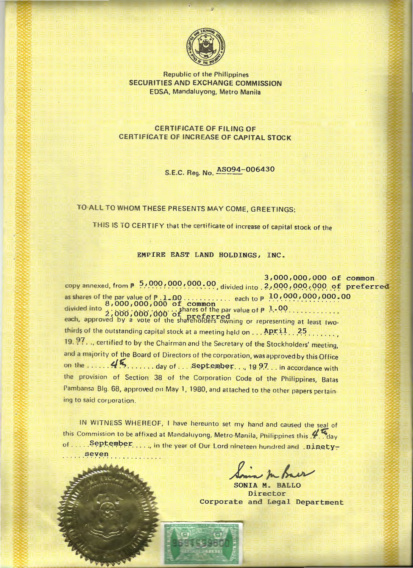

**Republic of the Philippines** SECURITIES AND EXCHANGE COMMISSION EDSA, Mandaluyong, Metro Manila

**CERTIFICATE OF FILING OF** CERTIFICATE OF INCREASE OF CAPITAL STOCK

S.E.C. Reg. No.  $ASO94-006430$ 

# TO ALL TO WHOM THESE PRESENTS MAY COME, GREETINGS:

THIS IS TO CERTIFY that the certificate of increase of capital stock of the

EMPIRE EAST LAND HOLDINGS, INC.

3,000,000,000 of common copy annexed, from p 5,000,000,000,000, divided into 2,000,000,000 of preferred thirds of the outstanding capital stock at a meeting held on  $\dots$  April  $\dots$  25 19.97..., certified to by the Chairman and the Secretary of the Stockholders' meeting, and a majority of the Board of Directors of the corporation, was approved by this Office the provision of Section 38 of the Corporation Code of the Philippines, Batas Pambansa Blg. 68, approved on May 1, 1980, and attached to the other papers pertaining to said corporation.

IN WITNESS WHEREOF, I have hereunto set my hand and caused the seal of this Commission to be affixed at Mandaluyong, Metro-Manila, Philippines this ... day of .... September...., in the year of Our Lord nineteen hundred and .ninety-...seven

SONIA M. BALLO Director Corporate and Legal Department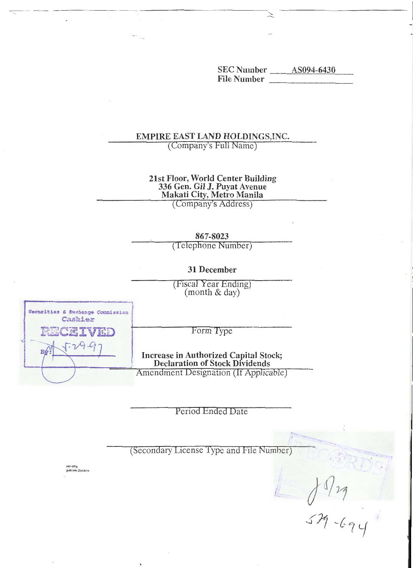**SEC Number** \_\_\_\_\_\_ AS094-6430 File Number

# EMPIRE EAST LAND HOLDINGS, INC.

(Company's Full Name)

# 21st Floor, World Center Building 336 Gen. Gil J. Puyat Avenue Makati City, Metro Manila

(Company's Address)

867-8023

(Telephone Number)

# 31 December

(Fiscal Year Ending) (month & day)

Form Type

**Increase in Authorized Capital Stock; Declaration of Stock Dividends** 

Securities & Exchange Commission Cashier IVET  $9 - 4$ Amendment Designation (If Applicable)

Period Ended Date

(Secondary License Type and File Number)

sec-emp<br>pob(sec-2)micro

 $19/29$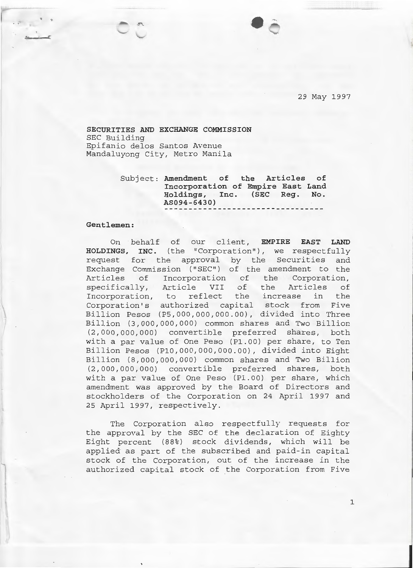29 May 1997

### **SECURITIES AND EXCHANGE COMMISSION**  SEC Building Epifanio delos Santos Avenue Mandaluyong City, Metro Manila

Subject: **Amendment of the Articles of Incorporation of Empire East Land Holdings, Inc . (SEC Reg. No. AS094-6430)** 

### **Gentlemen:**

On behalf of our client, **EMPIRE EAST LAND HOLDINGS , INC .** (the "Corporation"), we respectfully request for the approval by the Securities and Exchange Commission ("SEC'') of the amendment to the Articles of Incorporation of the Corporation, specifically, Article VII of the Articles of Incorporation, to reflect the increase in the Corporation's authorized capital stock from Five Billion Pesos (P5,000,000,000.00), divided into Three Billion (3,000,000,000) common shares and Two Billion (2,000,000,000) convertible preferred shares, both with a par value of One Peso (P1.00) per share, to Ten Billion Pesos (P10,000,000,000.00), divided into Eight Billion (8, 000,000, 000) common shares and Two Billion (2,000,000,000) convertible preferred shares, both with a par value of One Peso (P1.00) per share, which amendment was approved by the Board of Directors and stockholders of the Corporation on 24 April 1997 and 25 April 1997, respectively .

The Corporation also respectfully requests for the approval by the SEC of the declaration of Eighty Eight percent (88%) stock dividends, which will be applied as part of the subscribed and paid-in capital stock of the Corporation, out of the increase in the authorized capital stock of the Corporation from Five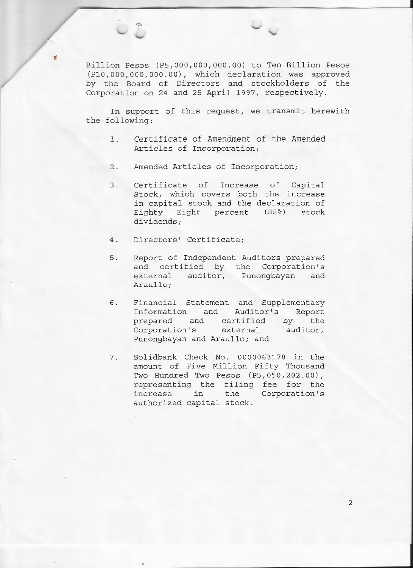Billion Pesos (P5,000,000,000.00) to Ten Billion Pesos (P10 ,000,000, 000 . 00) , which declaration was approved by the Board of Directors and stockholders of the Corporation on 24 and 25 April 1997, respectively.

In support of this request, we transmit herewith the following:

- 1. Certificate of Amendment of the Amended Articles of Incorporation;
- 2. Amended Articles of Incorporation;
- 3. Certificate of Increase of Capital Stock, which covers both the increase in capital stock and the declaration of Eighty Eight percent (88%) stock dividends;
- 4. Directors' Certificate;

 $\Rightarrow$ 

- 5 . Report of Independent Auditors prepared and certified by the Corporation's external auditor, Punongbayan and Araullo;
- 6 . Financial Statement and Supplementary Information and Auditor's Report prepared and certified by the Corporation's external auditor, Punongbayan and Araullo; and
- 7. Solidbank Check No. 0000063178 in the amount of Five Million Fifty Thousand Two Hundred Two Pesos (P5 , 050 , 202 . 00) , representing the filing fee for the increase in the Corporation's authorized capital stock .

2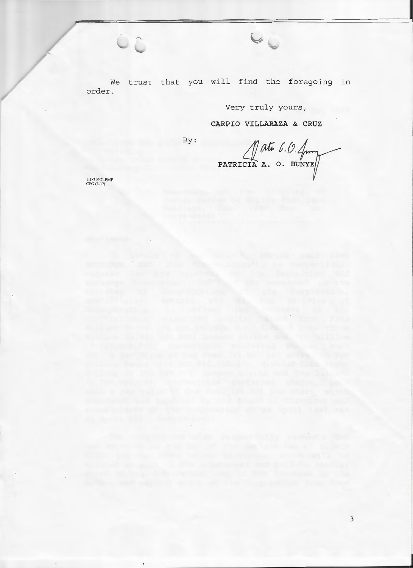We trust that you will find the foregoing in order.

# Very truly yours,

 $\vee$ 

# CARPIO VILLARAZA & CRUZ

 $By:$ 

 $\mathbb{R}^{at6.0.4}$ 

1.483 SEC-EMP<br>CPG (L-12)

taaleen, eestie

 $C_{\hat{C}}$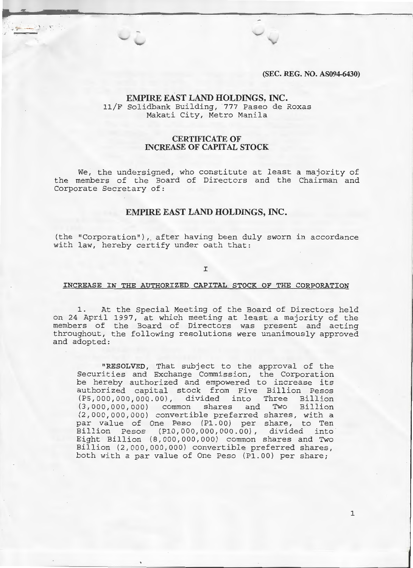**(SEC. REG. NO. AS094-6430)** 

# **EMPIRE EAST LAND HOLDINGS, INC.**  11/F Solidbank Building, 777 Paseo de Roxas Makati City, Metro Manila

## **CERTIFICATE OF INCREASE OF CAPITAL STOCK**

We, the undersigned, who constitute at least a majority of the members of the Board of Directors and the Chairman and Corporate Secretary of:

### **EMPIRE EAST LAND HOLDINGS, INC.**

(the "Corporation"), after having been duly sworn in accordance with law, hereby certify under oath that:

I

#### **INCREASE IN THE AUTHORIZED CAPITAL STOCK OF THE CORPORATION**

1. At the Special Meeting of the Board of Directors held on 24 April 1997, at which meeting at least a majority of the members of the Board of Directors was present and acting throughout, the following resolutions were unanimously approved and adopted:

**"RESOLVED,** That subject to the approval of the Securities and Exchange Commission, the Corporation be hereby authorized and empowered to increase its authorized capital stock from Five Billion Pesos (PS,OOO,OOO,OOQ.OO), divided into Three Billion (3,000,000,000) common shares and Two Billion (2,000,000,000) convertible preferred shares, with a par value of One Peso (P1.00) per share, to Ten Billion Pesos (P1.0,000,000,000.00), divided into Eight Billion (8,000,000,000) common shares and Two Billion (2,000,000,000) convertible preferred shares, both with a par value of One Peso (P1 . 00) per share;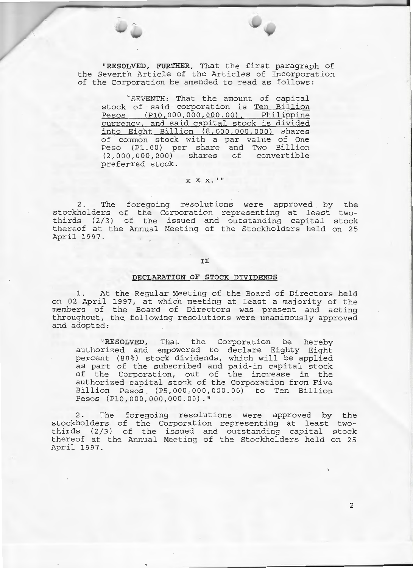**"RESOLVED, FURTHER,** That the first paragraph of the Seventh Article of the Articles of Incorporation of the Corporation be amended to read as follows:

`SEVENTH: That the amount of capital stock of said corporation is Ten Billion Pesos (P10,000,000,000.00), Philippine currency, and said capital stock is divided into Eight Billion (8,000,000,000) shares of common stock with a par value of One Peso (P1.00) per share and Two Billion (2,000,000,000) shares of convertible preferred stock.

### X X X. I II

2. The foregoing resolutions were approved by the stockholders of the Corporation representing at least twothirds (2/3) of the issued and outstanding capital stock thereof at the Annual Meeting of the Stockholders held on 25 April 1997.

#### II

#### **DECLARATION OF STOCK DIVIDENDS**

At the Regular Meeting of the Board of Directors held on 02 April 1997, at which meeting at least a majority of the members of the Board of Directors was present and acting throughout, the following resolutions were unanimously approved and adopted:

**"RESOLVED,** That the Corporation be hereby authorized and empowered to declare Eighty Eight percent (88%) stock dividends, which will be applied as part of the subscribed and paid-in capital stock of the Corporation, out of the increase in the authorized capital stock of the Corporation from Five Billion Pesos. (P5,000,000,000.00) to Ten Billion Pesos (P10,000,000,000.00) ."

2. The foregoing resolutions were approved by the stockholders of the Corporation representing at least twothirds (2/3) of the issued and outstanding capital stock thereof at the Annual Meeting of the Stockholders held on 25 April 1997.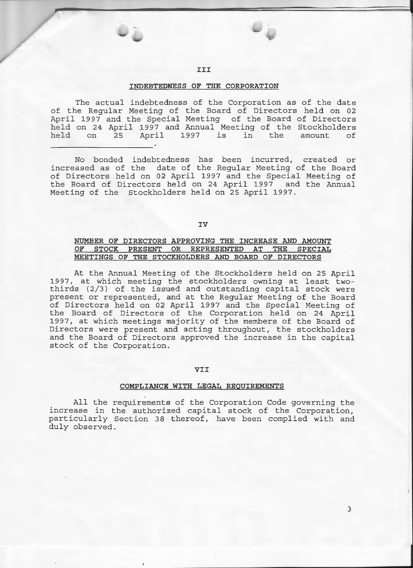### **III**

#### **INDEBTEDNESS OF THE CORPORATION**

The actual indebtedness of the Corporation as of the date of the Regular Meeting of the Board of Directors held on 02 April 1997 and the Special Meeting of the Board of Directors held on 24 April 1997 and Annual Meeting of the Stockholders<br>held on 25 April 1997 is in the amount of held on 25 April 1997 is in the amount of

No bonded indebtedness has been incurred, created or increased as of the date of the Regular Meeting of the Board of Directors held on 02 April 1997 and the Special Meeting of the Board of Directors held on 24 April 1997 and the Annual Meeting of the Stockholders held on 25 April 1997.

### **IV**

### **NUMBER OF DIRECTORS APPROVING THE INCREASE AND AMOUNT OF STOCK PRESENT OR REPRESENTED AT THE SPECIAL MEETINGS OF THE STOCKHOLDERS AND BOARD OF DIRECTORS**

At the Annual Meeting of the Stockholders held on 25 April 1997, at which meeting the stockholders owning at least twothirds (2/3) of the issued and outstanding capital stock were present or represented, and at the Regular Meeting of the Board of Directors held on 02 April 1997 and the Special Meeting of the Board of Directors of the Corporation held on 24 April 1997, at which meetings majority of the members of the Board of Directors were present and acting throughout, the stockholders and the Board of Directors approved the increase in the capital stock of the Corporation.

#### **VII**

#### **COMPLIANCE WITH LEGAL REQUIREMENTS**

All the requirements of the Corporation Code governing the increase in the authorized capital stock of the Corporation, particularly Section 38 thereof, have been complied with and duly observed.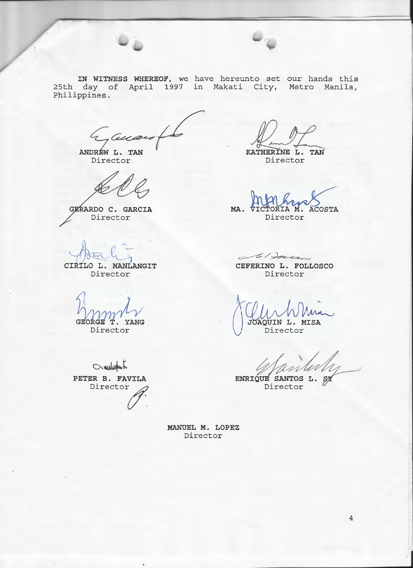



**IN WITNESS WHEREOF,** we have hereunto set our hands this 25th day of April 1997 in Makati City, Metro Manila, Philippines.

4 Cua

ANDREW L. TAN Director

GERARDO C. GARCIA Director

CIRÍLO L. MANLANGIT<br>Director

GEORGE T. YANG

Director

 $\sim$ white **PETER B. FAVILA**  Director

*J/ZJL\_* 

**KATHERINE L. TAN**  Director

**MA. ACOSTA** Director

 $>$  1 20 $10$ 

**CEFERINO L. FOLLOSCO**  Director

JOAQUIN L. MISA Director

 $5/1$ 

ENRIQUE SANTOS L. Director

**MANUEL M. LOPEZ**  Director

I